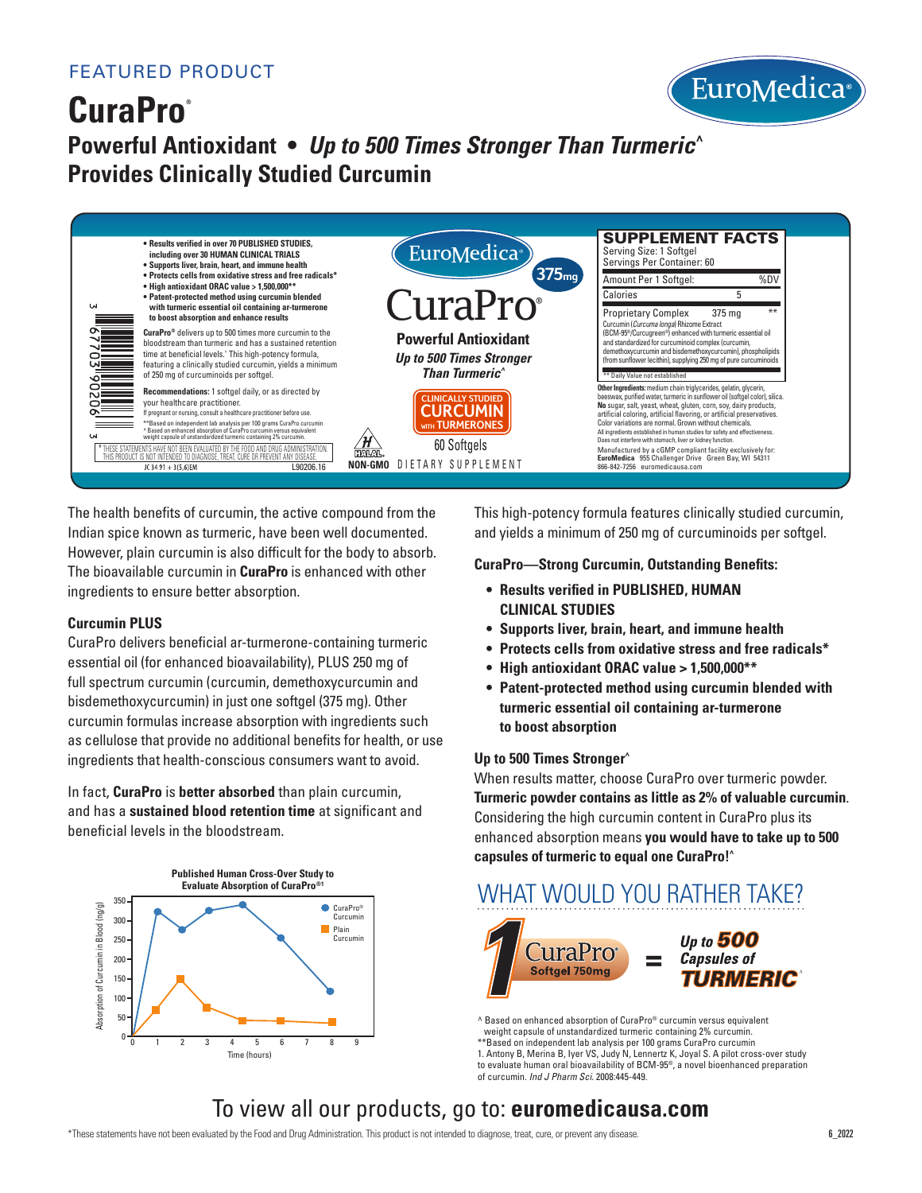

# **CuraPro® Powerful Antioxidant •** *Up to 500 Times Stronger Than Turmeric^* **Provides Clinically Studied Curcumin**



The health benefits of curcumin, the active compound from the Indian spice known as turmeric, have been well documented. However, plain curcumin is also difficult for the body to absorb. The bioavailable curcumin in **CuraPro** is enhanced with other ingredients to ensure better absorption.

### **Curcumin PLUS**

CuraPro delivers beneficial ar-turmerone-containing turmeric essential oil (for enhanced bioavailability), PLUS 250 mg of full spectrum curcumin (curcumin, demethoxycurcumin and bisdemethoxycurcumin) in just one softgel (375 mg). Other curcumin formulas increase absorption with ingredients such as cellulose that provide no additional benefits for health, or use ingredients that health-conscious consumers want to avoid.

In fact, **CuraPro** is **better absorbed** than plain curcumin, and has a **sustained blood retention time** at significant and beneficial levels in the bloodstream.



This high-potency formula features clinically studied curcumin, and yields a minimum of 250 mg of curcuminoids per softgel.

### **CuraPro—Strong Curcumin, Outstanding Benefits:**

- **Results verified in PUBLISHED, HUMAN CLINICAL STUDIES**
- **• Supports liver, brain, heart, and immune health**
- **• Protects cells from oxidative stress and free radicals\***
- **• High antioxidant ORAC value > 1,500,000\*\***
- **Patent-protected method using curcumin blended with turmeric essential oil containing ar-turmerone to boost absorption**

### **Up to 500 Times Stronger^**

When results matter, choose CuraPro over turmeric powder. **Turmeric powder contains as little as 2% of valuable curcumin**. Considering the high curcumin content in CuraPro plus its enhanced absorption means **you would have to take up to 500 capsules of turmeric to equal one CuraPro!^**



^ Based on enhanced absorption of CuraPro® curcumin versus equivalent weight capsule of unstandardized turmeric containing 2% curcumin. \*\*Based on independent lab analysis per 100 grams CuraPro curcumin 1. Antony B, Merina B, Iyer VS, Judy N, Lennertz K, Joyal S. A pilot cross-over study to evaluate human oral bioavailability of BCM-95®, a novel bioenhanced preparation of curcumin. *Ind J Pharm Sci*. 2008:445-449.

## To view all our products, go to: **euromedicausa.com**